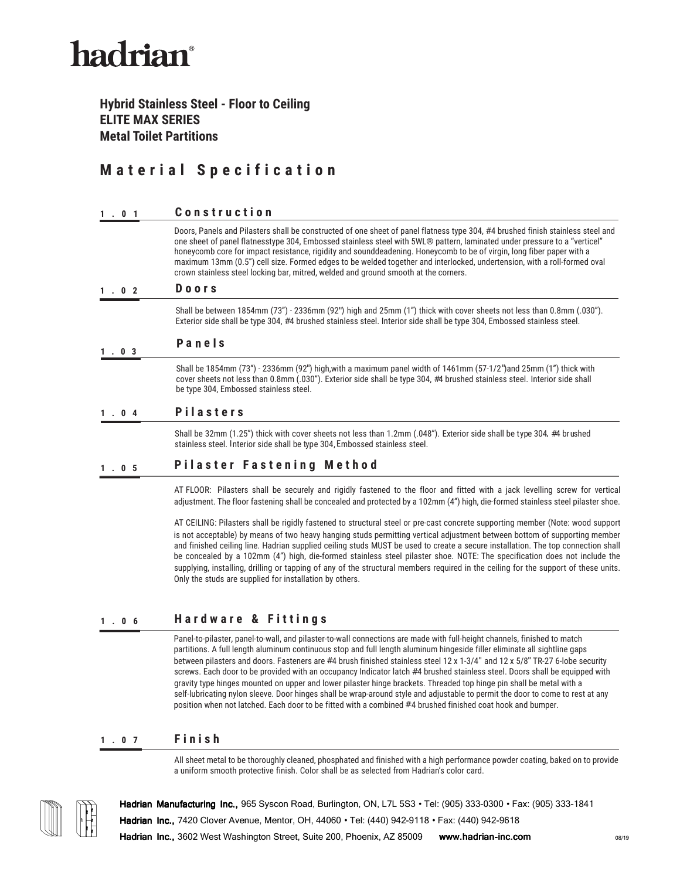# hadrian®

## **Hybrid Stainless Steel - Floor to Ceiling ELITE MAX SERIES Metal Toilet Partitions**

# **M a t e r i a l S p e c i f i c a t i o n**

#### **1.01 Constr uction**

Doors, Panels and Pilasters shall be constructed of one sheet of panel flatness type 304, #4 brushed finish stainless steel and one sheet of panel flatnesstype 304, Embossed stainless steel with 5WL® pattern, laminated under pressure to a "verticel" honeycomb core for impact resistance, rigidity and sounddeadening. Honeycomb to be of virgin, long fiber paper with a maximum 13mm (0.5") cell size. Formed edges to be welded together and interlocked, undertension, with a roll-formed oval crown stainless steel locking bar, mitred, welded and ground smooth at the corners.

#### **1.02 Door s**

Shall be between 1854mm (73") - 2336mm (92") high and 25mm (1") thick with cover sheets not less than 0.8mm (.030"). Exterior side shall be type 304, #4 brushed stainless steel. Interior side shall be type 304, Embossed stainless steel.

#### **1 .03 P a n e l s**

Shall be 1854mm (73") - 2336mm (92") high,with a maximum panel width of 1461mm (57-1/2")and 25mm (1") thick with cover sheets not less than 0.8mm (.030"). Exterior side shall be type 304, #4 brushed stainless steel. Interior side shall be type 304, Embossed stainless steel.

#### **1.04 Pilaste r s**

Shall be 32mm (1.25") thick with cover sheets not less than 1.2mm (.048"). Exterior side shall be type 304, #4 brushed stainless steel. Interior side shall be type 304,Embossed stainless steel.

### **1.05 Pilaste r Fastening Method**

AT FLOOR: Pilasters shall be securely and rigidly fastened to the floor and fitted with a jack levelling screw for vertical adjustment. The floor fastening shall be concealed and protected by a 102mm (4") high, die-formed stainless steel pilaster shoe.

AT CEILING: Pilasters shall be rigidly fastened to structural steel or pre-cast concrete supporting member (Note: wood support is not acceptable) by means of two heavy hanging studs permitting vertical adjustment between bottom of supporting member and finished ceiling line. Hadrian supplied ceiling studs MUST be used to create a secure installation. The top connection shall be concealed by a 102mm (4") high, die-formed stainless steel pilaster shoe. NOTE: The specification does not include the supplying, installing, drilling or tapping of any of the structural members required in the ceiling for the support of these units. Only the studs are supplied for installation by others.

#### **1.06 Har dware & Fittings**

Panel-to-pilaster, panel-to-wall, and pilaster-to-wall connections are made with full-height channels, finished to match partitions. A full length aluminum continuous stop and full length aluminum hingeside filler eliminate all sightline gaps between pilasters and doors. Fasteners are #4 brush finished stainless steel 12 x 1-3/4" and 12 x 5/8" TR-27 6-lobe security screws. Each door to be provided with an occupancy Indicator latch #4 brushed stainless steel. Doors shall be equipped with gravity type hinges mounted on upper and lower pilaster hinge brackets. Threaded top hinge pin shall be metal with a self-lubricating nylon sleeve. Door hinges shall be wrap-around style and adjustable to permit the door to come to rest at any position when not latched. Each door to be fitted with a combined #4 brushed finished coat hook and bumper.

#### **1.07 Finish**

All sheet metal to be thoroughly cleaned, phosphated and finished with a high performance powder coating, baked on to provide a uniform smooth protective finish. Color shall be as selected from Hadrian's color card.



**Hadrian Manufacturing Inc.,** 965 Syscon Road, Burlington, ON, L7L 5S3 • Tel: (905) 333-0300 • Fax: (905) 333-1841 **Hadrian Inc.,** 7420 Clover Avenue, Mentor, OH, 44060 • Tel: (440) 942-9118 • Fax: (440) 942-9618

**Hadrian Inc.,** 3602 West Washington Street, Suite 200, Phoenix, AZ 85009 **www.hadrian-inc.com**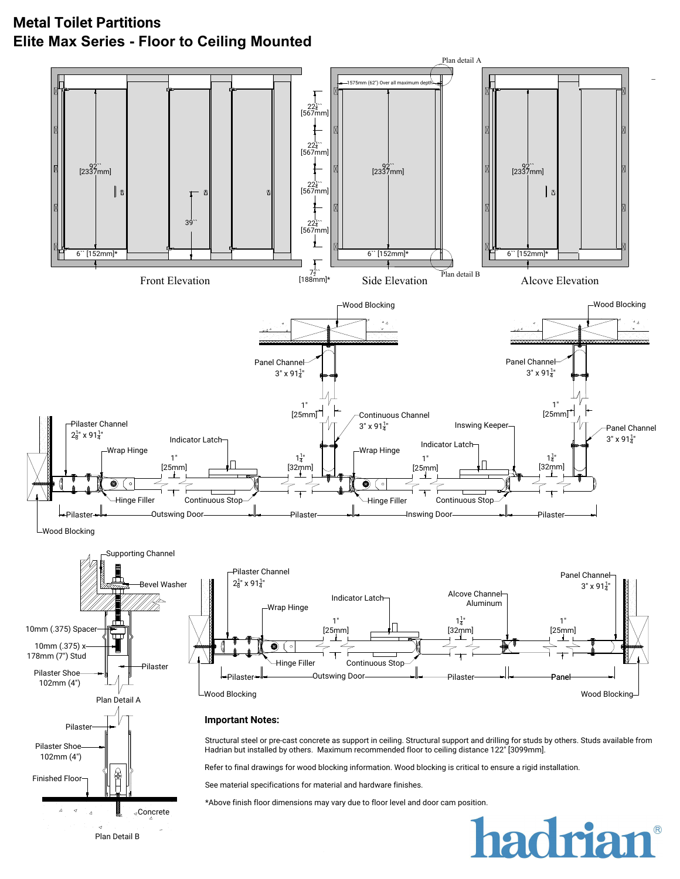# **Metal Toilet Partitions Elite Max Series - Floor to Ceiling Mounted**